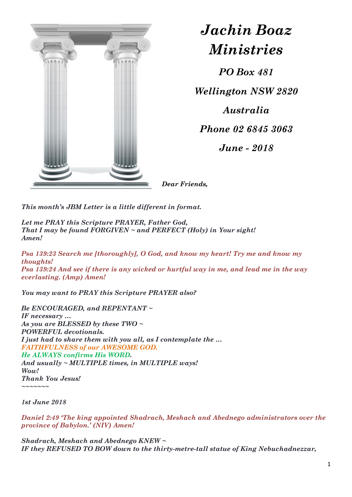

*Jachin Boaz Ministries*

*PO Box 481 Wellington NSW 2820 Australia Phone 02 6845 3063 June - 2018*

*Dear Friends,*

*This month's JBM Letter is a little different in format.*

*Let me PRAY this Scripture PRAYER, Father God, That I may be found FORGIVEN ~ and PERFECT (Holy) in Your sight! Amen!*

*Psa 139:23 Search me [thoroughly], O God, and know my heart! Try me and know my thoughts! Psa 139:24 And see if there is any wicked or hurtful way in me, and lead me in the way everlasting. (Amp) Amen!*

*You may want to PRAY this Scripture PRAYER also?*

*Be ENCOURAGED, and REPENTANT ~ IF necessary … As you are BLESSED by these TWO ~ POWERFUL devotionals. I just had to share them with you all, as I contemplate the … FAITHFULNESS of our AWESOME GOD. He ALWAYS confirms His WORD. And usually ~ MULTIPLE times, in MULTIPLE ways! Wow!* 

*Thank You Jesus! ~~~~~~~*

*1st June 2018*

*Daniel 2:49 'The king appointed Shadrach, Meshach and Abednego administrators over the province of Babylon.' (NIV) Amen!*

*Shadrach, Meshach and Abednego KNEW ~ IF they REFUSED TO BOW down to the thirty-metre-tall statue of King Nebuchadnezzar,*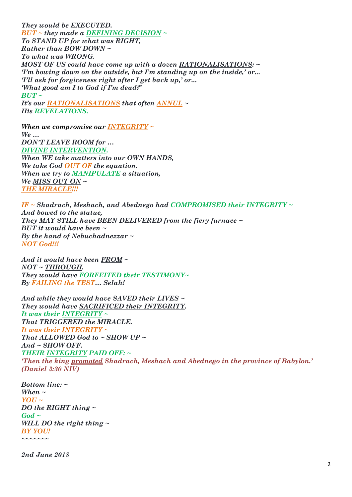*They would be EXECUTED. BUT ~ they made a DEFINING DECISION ~ To STAND UP for what was RIGHT, Rather than BOW DOWN ~ To what was WRONG. MOST OF US could have come up with a dozen RATIONALISATIONS: ~ T'm bowing down on the outside, but I'm standing up on the inside,' or... T'll ask for forgiveness right after I get back up,' or... 'What good am I to God if I'm dead?' BUT ~ It's our RATIONALISATIONS that often ANNUL ~ His REVELATIONS.*

*When we compromise our INTEGRITY ~*  $W_{\rho}$ *DON'T LEAVE ROOM for … DIVINE INTERVENTION. When WE take matters into our OWN HANDS, We take God OUT OF the equation. When we try to MANIPULATE a situation, We MISS OUT ON ~ THE MIRACLE!!!*

*IF ~ Shadrach, Meshach, and Abednego had COMPROMISED their INTEGRITY ~ And bowed to the statue, They MAY STILL have BEEN DELIVERED from the fiery furnace ~ BUT it would have been ~ By the hand of Nebuchadnezzar ~ NOT God!!!*

*And it would have been FROM ~ NOT ~ THROUGH. They would have FORFEITED their TESTIMONY~ By FAILING the TEST… Selah!* 

*And while they would have SAVED their LIVES ~ They would have SACRIFICED their INTEGRITY. It was their INTEGRITY ~ That TRIGGERED the MIRACLE. It was their INTEGRITY ~ That ALLOWED God to ~ SHOW UP ~ And ~ SHOW OFF. THEIR INTEGRITY PAID OFF: ~ 'Then the king promoted Shadrach, Meshach and Abednego in the province of Babylon.' (Daniel 3:30 NIV)* 

*Bottom line: ~ When*  $\sim$  $YOU \sim$ *DO the RIGHT thing ~*   $God ~~$ *WILL DO the right thing ~ BY YOU! ~~~~~~~*

*2nd June 2018*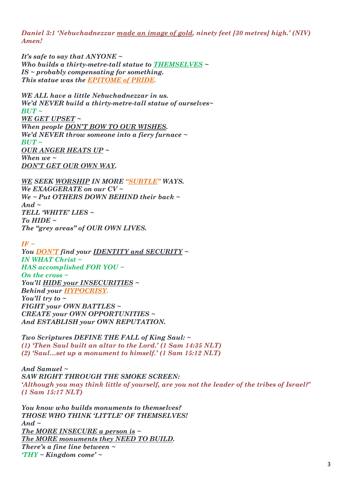*Daniel 3:1 'Nebuchadnezzar made an image of gold, ninety feet [30 metres] high.' (NIV) Amen!*

*It's safe to say that ANYONE ~ Who builds a thirty-metre-tall statue to THEMSELVES ~ IS ~ probably compensating for something. This statue was the EPITOME of PRIDE.* 

*WE ALL have a little Nebuchadnezzar in us. We'd NEVER build a thirty-metre-tall statue of ourselves~ BUT ~ WE GET UPSET ~ When people DON'T BOW TO OUR WISHES. We'd NEVER throw someone into a fiery furnace ~ BUT ~ OUR ANGER HEATS UP ~ When we ~ DON'T GET OUR OWN WAY.*

*WE SEEK WORSHIP IN MORE "SUBTLE" WAYS. We EXAGGERATE on our CV ~ We ~ Put OTHERS DOWN BEHIND their back ~*   $And \sim$ *TELL 'WHITE' LIES ~ To HIDE ~ The "grey areas" of OUR OWN LIVES.* 

 $IF \sim$ *You DON'T find your IDENTITY and SECURITY ~ IN WHAT Christ ~ HAS accomplished FOR YOU ~ On the cross ~ You'll HIDE your INSECURITIES ~ Behind your HYPOCRISY. You'll try to ~ FIGHT your OWN BATTLES ~ CREATE your OWN OPPORTUNITIES ~ And ESTABLISH your OWN REPUTATION.* 

*Two Scriptures DEFINE THE FALL of King Saul: ~ (1) 'Then Saul built an altar to the Lord.' (1 Sam 14:35 NLT) (2) 'Saul…set up a monument to himself.' (1 Sam 15:12 NLT)*

*And Samuel ~ SAW RIGHT THROUGH THE SMOKE SCREEN: 'Although you may think little of yourself, are you not the leader of the tribes of Israel?' (1 Sam 15:17 NLT)*

*You know who builds monuments to themselves? THOSE WHO THINK 'LITTLE' OF THEMSELVES! And ~ The MORE INSECURE a person is ~ The MORE monuments they NEED TO BUILD. There's a fine line between ~ 'THY ~ Kingdom come' ~*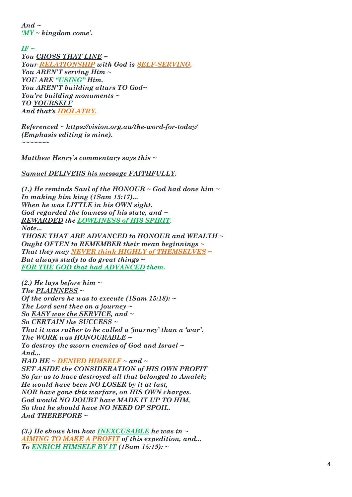$And ~\sim$ *'MY ~ kingdom come'.* 

 $IF \sim$ 

*You CROSS THAT LINE ~ Your RELATIONSHIP with God is SELF-SERVING. You AREN'T serving Him ~ YOU ARE "USING" Him. You AREN'T building altars TO God~ You're building monuments ~ TO YOURSELF And that's IDOLATRY.*

*Referenced ~ https://vision.org.au/the-word-for-today/ (Emphasis editing is mine). ~~~~~~~*

*Matthew Henry's commentary says this ~* 

*Samuel DELIVERS his message FAITHFULLY.*

*(1.) He reminds Saul of the HONOUR ~ God had done him ~ In making him king (1Sam 15:17)... When he was LITTLE in his OWN sight. God regarded the lowness of his state, and ~ REWARDED the LOWLINESS of HIS SPIRIT. Note... THOSE THAT ARE ADVANCED to HONOUR and WEALTH ~ Ought OFTEN to REMEMBER their mean beginnings ~ That they may NEVER think HIGHLY of THEMSELVES ~ But always study to do great things ~ FOR THE GOD that had ADVANCED them.*

*(2.) He lays before him ~ The PLAINNESS ~ Of the orders he was to execute (1Sam 15:18): ~ The Lord sent thee on a journey ~ So EASY was the SERVICE, and ~ So CERTAIN the SUCCESS ~ That it was rather to be called a 'journey' than a 'war'. The WORK was HONOURABLE ~ To destroy the sworn enemies of God and Israel ~ And... HAD HE ~ DENIED HIMSELF ~ and ~ SET ASIDE the CONSIDERATION of HIS OWN PROFIT So far as to have destroyed all that belonged to Amalek;* 

*He would have been NO LOSER by it at last, NOR have gone this warfare, on HIS OWN charges. God would NO DOUBT have MADE IT UP TO HIM, So that he should have NO NEED OF SPOIL. And THEREFORE ~* 

*(3.) He shows him how INEXCUSABLE he was in ~ AIMING TO MAKE A PROFIT of this expedition, and... To ENRICH HIMSELF BY IT (1Sam 15:19): ~*